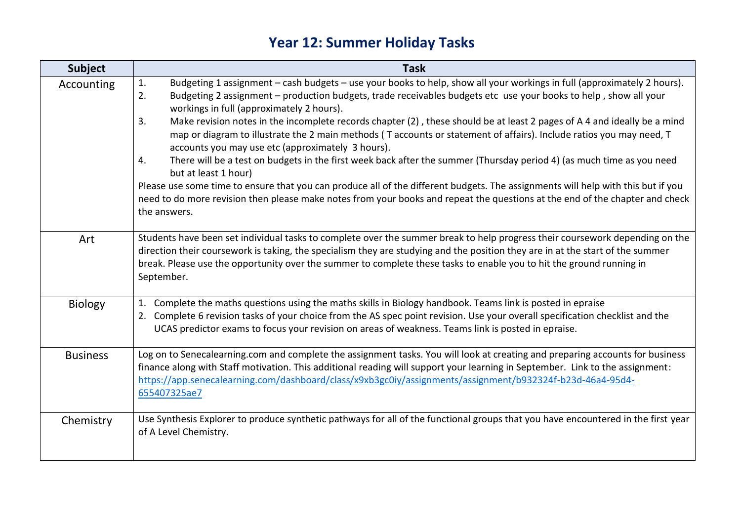## **Year 12: Summer Holiday Tasks**

| <b>Subject</b>  | <b>Task</b>                                                                                                                                                                                                                                                                                                                                                                                                                                                                                                                                                                                                                                                                                                                                                                                                                                                                                                                                                                                                                                                    |
|-----------------|----------------------------------------------------------------------------------------------------------------------------------------------------------------------------------------------------------------------------------------------------------------------------------------------------------------------------------------------------------------------------------------------------------------------------------------------------------------------------------------------------------------------------------------------------------------------------------------------------------------------------------------------------------------------------------------------------------------------------------------------------------------------------------------------------------------------------------------------------------------------------------------------------------------------------------------------------------------------------------------------------------------------------------------------------------------|
| Accounting      | Budgeting 1 assignment - cash budgets - use your books to help, show all your workings in full (approximately 2 hours).<br>1.<br>Budgeting 2 assignment - production budgets, trade receivables budgets etc use your books to help, show all your<br>2.<br>workings in full (approximately 2 hours).<br>Make revision notes in the incomplete records chapter (2), these should be at least 2 pages of A 4 and ideally be a mind<br>3.<br>map or diagram to illustrate the 2 main methods (T accounts or statement of affairs). Include ratios you may need, T<br>accounts you may use etc (approximately 3 hours).<br>There will be a test on budgets in the first week back after the summer (Thursday period 4) (as much time as you need<br>4.<br>but at least 1 hour)<br>Please use some time to ensure that you can produce all of the different budgets. The assignments will help with this but if you<br>need to do more revision then please make notes from your books and repeat the questions at the end of the chapter and check<br>the answers. |
| Art             | Students have been set individual tasks to complete over the summer break to help progress their coursework depending on the<br>direction their coursework is taking, the specialism they are studying and the position they are in at the start of the summer<br>break. Please use the opportunity over the summer to complete these tasks to enable you to hit the ground running in<br>September.                                                                                                                                                                                                                                                                                                                                                                                                                                                                                                                                                                                                                                                           |
| <b>Biology</b>  | 1. Complete the maths questions using the maths skills in Biology handbook. Teams link is posted in epraise<br>2. Complete 6 revision tasks of your choice from the AS spec point revision. Use your overall specification checklist and the<br>UCAS predictor exams to focus your revision on areas of weakness. Teams link is posted in epraise.                                                                                                                                                                                                                                                                                                                                                                                                                                                                                                                                                                                                                                                                                                             |
| <b>Business</b> | Log on to Senecalearning.com and complete the assignment tasks. You will look at creating and preparing accounts for business<br>finance along with Staff motivation. This additional reading will support your learning in September. Link to the assignment:<br>https://app.senecalearning.com/dashboard/class/x9xb3gc0iy/assignments/assignment/b932324f-b23d-46a4-95d4-<br>655407325ae7                                                                                                                                                                                                                                                                                                                                                                                                                                                                                                                                                                                                                                                                    |
| Chemistry       | Use Synthesis Explorer to produce synthetic pathways for all of the functional groups that you have encountered in the first year<br>of A Level Chemistry.                                                                                                                                                                                                                                                                                                                                                                                                                                                                                                                                                                                                                                                                                                                                                                                                                                                                                                     |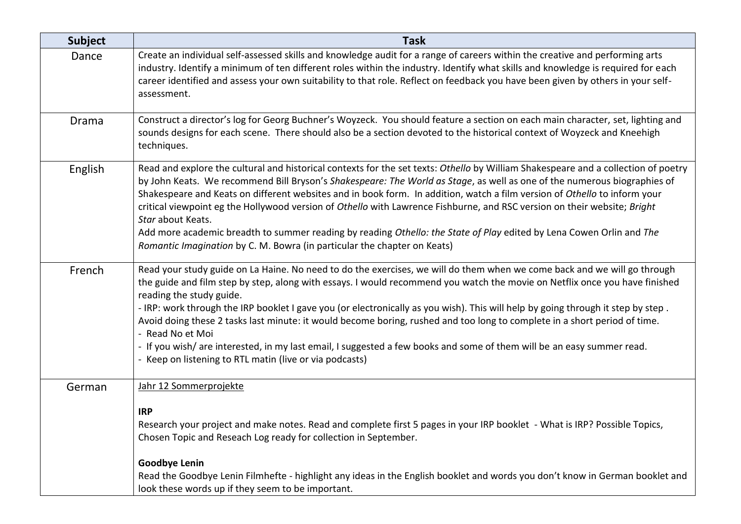| <b>Subject</b> | <b>Task</b>                                                                                                                                                                                                                                                                                                                                                                                                                                                                                                                                                                                                                                                                                                                                                  |
|----------------|--------------------------------------------------------------------------------------------------------------------------------------------------------------------------------------------------------------------------------------------------------------------------------------------------------------------------------------------------------------------------------------------------------------------------------------------------------------------------------------------------------------------------------------------------------------------------------------------------------------------------------------------------------------------------------------------------------------------------------------------------------------|
| Dance          | Create an individual self-assessed skills and knowledge audit for a range of careers within the creative and performing arts<br>industry. Identify a minimum of ten different roles within the industry. Identify what skills and knowledge is required for each<br>career identified and assess your own suitability to that role. Reflect on feedback you have been given by others in your self-<br>assessment.                                                                                                                                                                                                                                                                                                                                           |
| Drama          | Construct a director's log for Georg Buchner's Woyzeck. You should feature a section on each main character, set, lighting and<br>sounds designs for each scene. There should also be a section devoted to the historical context of Woyzeck and Kneehigh<br>techniques.                                                                                                                                                                                                                                                                                                                                                                                                                                                                                     |
| English        | Read and explore the cultural and historical contexts for the set texts: Othello by William Shakespeare and a collection of poetry<br>by John Keats. We recommend Bill Bryson's Shakespeare: The World as Stage, as well as one of the numerous biographies of<br>Shakespeare and Keats on different websites and in book form. In addition, watch a film version of Othello to inform your<br>critical viewpoint eg the Hollywood version of Othello with Lawrence Fishburne, and RSC version on their website; Bright<br>Star about Keats.<br>Add more academic breadth to summer reading by reading Othello: the State of Play edited by Lena Cowen Orlin and The<br>Romantic Imagination by C. M. Bowra (in particular the chapter on Keats)             |
| French         | Read your study guide on La Haine. No need to do the exercises, we will do them when we come back and we will go through<br>the guide and film step by step, along with essays. I would recommend you watch the movie on Netflix once you have finished<br>reading the study guide.<br>- IRP: work through the IRP booklet I gave you (or electronically as you wish). This will help by going through it step by step.<br>Avoid doing these 2 tasks last minute: it would become boring, rushed and too long to complete in a short period of time.<br>- Read No et Moi<br>- If you wish/are interested, in my last email, I suggested a few books and some of them will be an easy summer read.<br>- Keep on listening to RTL matin (live or via podcasts) |
| German         | Jahr 12 Sommerprojekte<br><b>IRP</b><br>Research your project and make notes. Read and complete first 5 pages in your IRP booklet - What is IRP? Possible Topics,<br>Chosen Topic and Reseach Log ready for collection in September.                                                                                                                                                                                                                                                                                                                                                                                                                                                                                                                         |
|                | <b>Goodbye Lenin</b><br>Read the Goodbye Lenin Filmhefte - highlight any ideas in the English booklet and words you don't know in German booklet and<br>look these words up if they seem to be important.                                                                                                                                                                                                                                                                                                                                                                                                                                                                                                                                                    |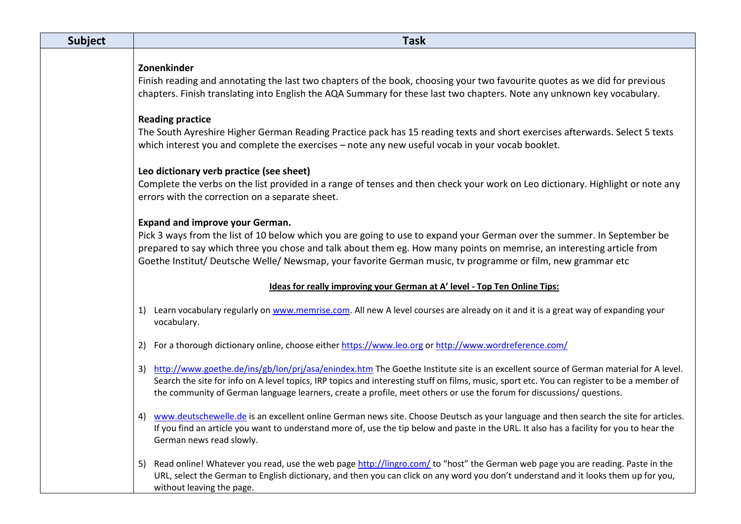| <b>Subject</b> | <b>Task</b>                                                                                                                                                                                                                                                                                                                                                                                                     |
|----------------|-----------------------------------------------------------------------------------------------------------------------------------------------------------------------------------------------------------------------------------------------------------------------------------------------------------------------------------------------------------------------------------------------------------------|
|                | Zonenkinder<br>Finish reading and annotating the last two chapters of the book, choosing your two favourite quotes as we did for previous<br>chapters. Finish translating into English the AQA Summary for these last two chapters. Note any unknown key vocabulary.                                                                                                                                            |
|                | <b>Reading practice</b><br>The South Ayreshire Higher German Reading Practice pack has 15 reading texts and short exercises afterwards. Select 5 texts<br>which interest you and complete the exercises - note any new useful vocab in your vocab booklet.                                                                                                                                                      |
|                | Leo dictionary verb practice (see sheet)<br>Complete the verbs on the list provided in a range of tenses and then check your work on Leo dictionary. Highlight or note any<br>errors with the correction on a separate sheet.                                                                                                                                                                                   |
|                | <b>Expand and improve your German.</b><br>Pick 3 ways from the list of 10 below which you are going to use to expand your German over the summer. In September be<br>prepared to say which three you chose and talk about them eg. How many points on memrise, an interesting article from<br>Goethe Institut/ Deutsche Welle/ Newsmap, your favorite German music, tv programme or film, new grammar etc       |
|                | Ideas for really improving your German at A' level - Top Ten Online Tips:                                                                                                                                                                                                                                                                                                                                       |
|                | 1) Learn vocabulary regularly on www.memrise.com. All new A level courses are already on it and it is a great way of expanding your<br>vocabulary.                                                                                                                                                                                                                                                              |
|                | 2) For a thorough dictionary online, choose either https://www.leo.org or http://www.wordreference.com/                                                                                                                                                                                                                                                                                                         |
|                | 3) http://www.goethe.de/ins/gb/lon/prj/asa/enindex.htm The Goethe Institute site is an excellent source of German material for A level.<br>Search the site for info on A level topics, IRP topics and interesting stuff on films, music, sport etc. You can register to be a member of<br>the community of German language learners, create a profile, meet others or use the forum for discussions/ questions. |
|                | www.deutschewelle.de is an excellent online German news site. Choose Deutsch as your language and then search the site for articles.<br>4)<br>If you find an article you want to understand more of, use the tip below and paste in the URL. It also has a facility for you to hear the<br>German news read slowly.                                                                                             |
|                | Read online! Whatever you read, use the web page http://lingro.com/ to "host" the German web page you are reading. Paste in the<br>5)<br>URL, select the German to English dictionary, and then you can click on any word you don't understand and it looks them up for you,<br>without leaving the page.                                                                                                       |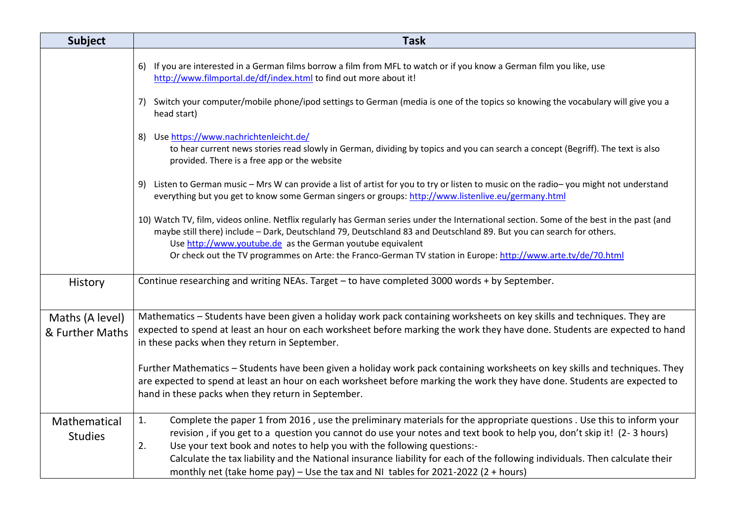| <b>Subject</b>                     | <b>Task</b>                                                                                                                                                                                                                                                                                                                                                                                                                                      |
|------------------------------------|--------------------------------------------------------------------------------------------------------------------------------------------------------------------------------------------------------------------------------------------------------------------------------------------------------------------------------------------------------------------------------------------------------------------------------------------------|
|                                    | 6) If you are interested in a German films borrow a film from MFL to watch or if you know a German film you like, use<br>http://www.filmportal.de/df/index.html to find out more about it!                                                                                                                                                                                                                                                       |
|                                    | 7) Switch your computer/mobile phone/ipod settings to German (media is one of the topics so knowing the vocabulary will give you a<br>head start)                                                                                                                                                                                                                                                                                                |
|                                    | 8) Use https://www.nachrichtenleicht.de/<br>to hear current news stories read slowly in German, dividing by topics and you can search a concept (Begriff). The text is also<br>provided. There is a free app or the website                                                                                                                                                                                                                      |
|                                    | 9) Listen to German music - Mrs W can provide a list of artist for you to try or listen to music on the radio-you might not understand<br>everything but you get to know some German singers or groups: http://www.listenlive.eu/germany.html                                                                                                                                                                                                    |
|                                    | 10) Watch TV, film, videos online. Netflix regularly has German series under the International section. Some of the best in the past (and<br>maybe still there) include - Dark, Deutschland 79, Deutschland 83 and Deutschland 89. But you can search for others.<br>Use http://www.youtube.de as the German youtube equivalent<br>Or check out the TV programmes on Arte: the Franco-German TV station in Europe: http://www.arte.tv/de/70.html |
| History                            | Continue researching and writing NEAs. Target - to have completed 3000 words + by September.                                                                                                                                                                                                                                                                                                                                                     |
| Maths (A level)<br>& Further Maths | Mathematics - Students have been given a holiday work pack containing worksheets on key skills and techniques. They are<br>expected to spend at least an hour on each worksheet before marking the work they have done. Students are expected to hand<br>in these packs when they return in September.                                                                                                                                           |
|                                    | Further Mathematics - Students have been given a holiday work pack containing worksheets on key skills and techniques. They<br>are expected to spend at least an hour on each worksheet before marking the work they have done. Students are expected to<br>hand in these packs when they return in September.                                                                                                                                   |
| Mathematical<br><b>Studies</b>     | Complete the paper 1 from 2016, use the preliminary materials for the appropriate questions. Use this to inform your<br>1.<br>revision, if you get to a question you cannot do use your notes and text book to help you, don't skip it! (2-3 hours)<br>2.<br>Use your text book and notes to help you with the following questions:-                                                                                                             |
|                                    | Calculate the tax liability and the National insurance liability for each of the following individuals. Then calculate their<br>monthly net (take home pay) – Use the tax and NI tables for 2021-2022 (2 + hours)                                                                                                                                                                                                                                |